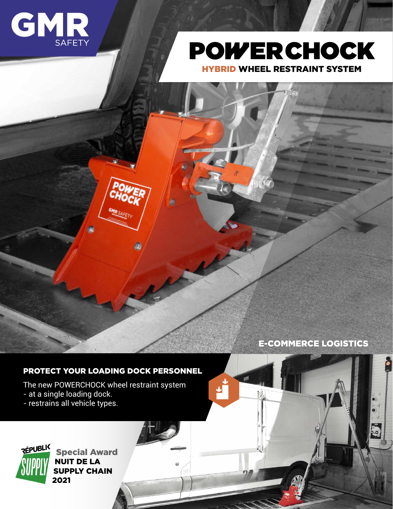



HYBRID WHEEL RESTRAINT SYSTEM



E-COMMERCE LOGISTICS

SANS  $M$  **de 30 secondes**

PER PERSONAL HIVER START

**Garantie de 5ans 5years warranty Coché**

İ.

COÛTS D'EXPLOITATION

**PC 9 Portable Installation en moins**

**Bloquante Action double**

UNIQUE

AMÉRIQUE

 $\frac{1}{2}$ 

**Articulé**

## PROTECT YOUR LOADING DOCK PERSONNEL

The new POWERCHOCK wheel restraint system

- at a single loading dock.
- restrains all vehicle types.



Special Award NUIT DE LA SUPPLY CHAIN 2021